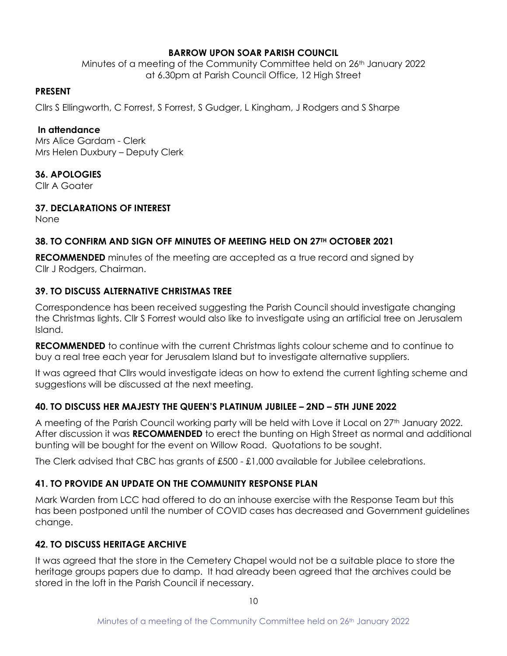# **BARROW UPON SOAR PARISH COUNCIL**

Minutes of a meeting of the Community Committee held on 26<sup>th</sup> January 2022 at 6.30pm at Parish Council Office, 12 High Street

#### **PRESENT**

Cllrs S Ellingworth, C Forrest, S Forrest, S Gudger, L Kingham, J Rodgers and S Sharpe

#### **In attendance**

Mrs Alice Gardam - Clerk Mrs Helen Duxbury – Deputy Clerk

# **36. APOLOGIES**

Cllr A Goater

# **37. DECLARATIONS OF INTEREST**

None

# **38. TO CONFIRM AND SIGN OFF MINUTES OF MEETING HELD ON 27TH OCTOBER 2021**

**RECOMMENDED** minutes of the meeting are accepted as a true record and signed by Cllr J Rodgers, Chairman.

# **39. TO DISCUSS ALTERNATIVE CHRISTMAS TREE**

Correspondence has been received suggesting the Parish Council should investigate changing the Christmas lights. Cllr S Forrest would also like to investigate using an artificial tree on Jerusalem Island.

**RECOMMENDED** to continue with the current Christmas lights colour scheme and to continue to buy a real tree each year for Jerusalem Island but to investigate alternative suppliers.

It was agreed that Cllrs would investigate ideas on how to extend the current lighting scheme and suggestions will be discussed at the next meeting.

# **40. TO DISCUSS HER MAJESTY THE QUEEN'S PLATINUM JUBILEE – 2ND – 5TH JUNE 2022**

A meeting of the Parish Council working party will be held with Love it Local on 27<sup>th</sup> January 2022. After discussion it was **RECOMMENDED** to erect the bunting on High Street as normal and additional bunting will be bought for the event on Willow Road. Quotations to be sought.

The Clerk advised that CBC has grants of £500 - £1,000 available for Jubilee celebrations.

# **41. TO PROVIDE AN UPDATE ON THE COMMUNITY RESPONSE PLAN**

Mark Warden from LCC had offered to do an inhouse exercise with the Response Team but this has been postponed until the number of COVID cases has decreased and Government guidelines change.

# **42. TO DISCUSS HERITAGE ARCHIVE**

It was agreed that the store in the Cemetery Chapel would not be a suitable place to store the heritage groups papers due to damp. It had already been agreed that the archives could be stored in the loft in the Parish Council if necessary.